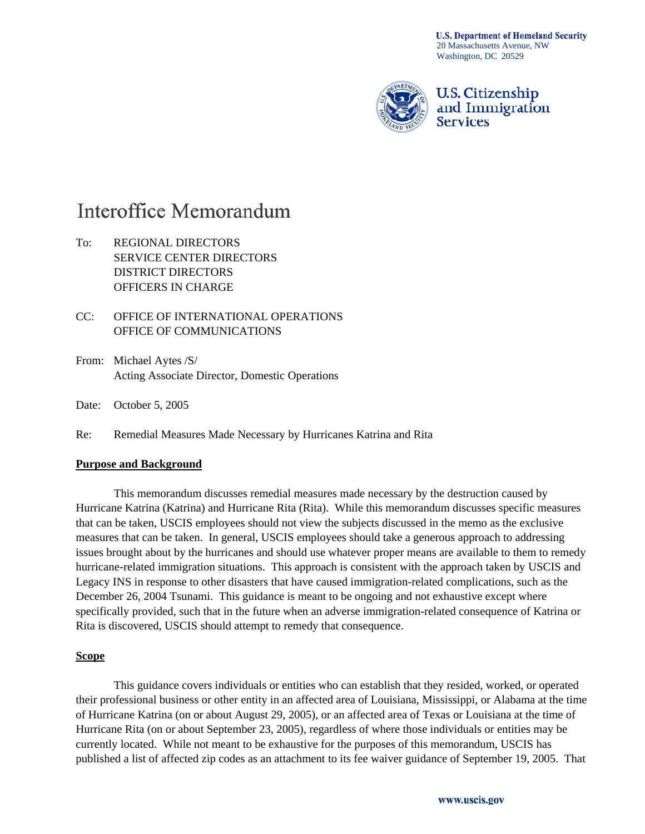**U.S. Department of Homeland Security** 20 Massachusetts Avenue, NW Washington, DC 20529



## **U.S. Citizenship** and Immigration **Services**

# Interoffice Memorandum

- To: REGIONAL DIRECTORS SERVICE CENTER DIRECTORS DISTRICT DIRECTORS OFFICERS IN CHARGE
- CC: OFFICE OF INTERNATIONAL OPERATIONS OFFICE OF COMMUNICATIONS
- From: Michael Aytes /S/ Acting Associate Director, Domestic Operations
- Date: October 5, 2005

Re: Remedial Measures Made Necessary by Hurricanes Katrina and Rita

#### **Purpose and Background**

 This memorandum discusses remedial measures made necessary by the destruction caused by Hurricane Katrina (Katrina) and Hurricane Rita (Rita). While this memorandum discusses specific measures that can be taken, USCIS employees should not view the subjects discussed in the memo as the exclusive measures that can be taken. In general, USCIS employees should take a generous approach to addressing issues brought about by the hurricanes and should use whatever proper means are available to them to remedy hurricane-related immigration situations. This approach is consistent with the approach taken by USCIS and Legacy INS in response to other disasters that have caused immigration-related complications, such as the December 26, 2004 Tsunami. This guidance is meant to be ongoing and not exhaustive except where specifically provided, such that in the future when an adverse immigration-related consequence of Katrina or Rita is discovered, USCIS should attempt to remedy that consequence.

#### **Scope**

 This guidance covers individuals or entities who can establish that they resided, worked, or operated their professional business or other entity in an affected area of Louisiana, Mississippi, or Alabama at the time of Hurricane Katrina (on or about August 29, 2005), or an affected area of Texas or Louisiana at the time of Hurricane Rita (on or about September 23, 2005), regardless of where those individuals or entities may be currently located. While not meant to be exhaustive for the purposes of this memorandum, USCIS has published a list of affected zip codes as an attachment to its fee waiver guidance of September 19, 2005. That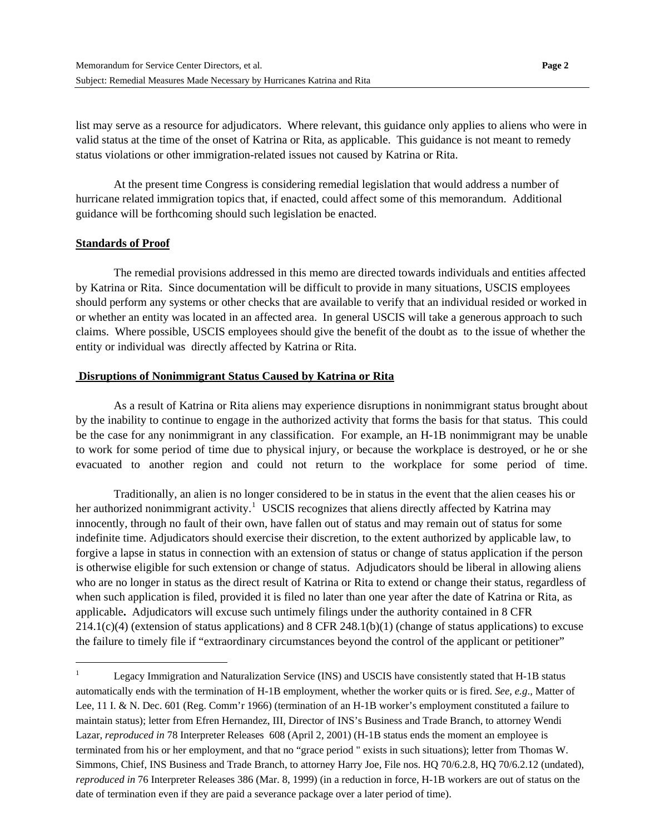list may serve as a resource for adjudicators. Where relevant, this guidance only applies to aliens who were in valid status at the time of the onset of Katrina or Rita, as applicable. This guidance is not meant to remedy status violations or other immigration-related issues not caused by Katrina or Rita.

At the present time Congress is considering remedial legislation that would address a number of hurricane related immigration topics that, if enacted, could affect some of this memorandum. Additional guidance will be forthcoming should such legislation be enacted.

#### **Standards of Proof**

l

 The remedial provisions addressed in this memo are directed towards individuals and entities affected by Katrina or Rita. Since documentation will be difficult to provide in many situations, USCIS employees should perform any systems or other checks that are available to verify that an individual resided or worked in or whether an entity was located in an affected area. In general USCIS will take a generous approach to such claims. Where possible, USCIS employees should give the benefit of the doubt as to the issue of whether the entity or individual was directly affected by Katrina or Rita.

#### **Disruptions of Nonimmigrant Status Caused by Katrina or Rita**

 As a result of Katrina or Rita aliens may experience disruptions in nonimmigrant status brought about by the inability to continue to engage in the authorized activity that forms the basis for that status. This could be the case for any nonimmigrant in any classification. For example, an H-1B nonimmigrant may be unable to work for some period of time due to physical injury, or because the workplace is destroyed, or he or she evacuated to another region and could not return to the workplace for some period of time.

 Traditionally, an alien is no longer considered to be in status in the event that the alien ceases his or her authorized nonimmigrant activity.<sup>[1](#page-1-0)</sup> USCIS recognizes that aliens directly affected by Katrina may innocently, through no fault of their own, have fallen out of status and may remain out of status for some indefinite time. Adjudicators should exercise their discretion, to the extent authorized by applicable law, to forgive a lapse in status in connection with an extension of status or change of status application if the person is otherwise eligible for such extension or change of status. Adjudicators should be liberal in allowing aliens who are no longer in status as the direct result of Katrina or Rita to extend or change their status, regardless of when such application is filed, provided it is filed no later than one year after the date of Katrina or Rita, as applicable**.** Adjudicators will excuse such untimely filings under the authority contained in 8 CFR 214.1(c)(4) (extension of status applications) and 8 CFR 248.1(b)(1) (change of status applications) to excuse the failure to timely file if "extraordinary circumstances beyond the control of the applicant or petitioner"

<span id="page-1-0"></span><sup>1</sup> Legacy Immigration and Naturalization Service (INS) and USCIS have consistently stated that H-1B status automatically ends with the termination of H-1B employment, whether the worker quits or is fired. *See, e.g*., Matter of Lee, 11 I. & N. Dec. 601 (Reg. Comm'r 1966) (termination of an H-1B worker's employment constituted a failure to maintain status); letter from Efren Hernandez, III, Director of INS's Business and Trade Branch, to attorney Wendi Lazar, *reproduced in* 78 Interpreter Releases 608 (April 2, 2001) (H-1B status ends the moment an employee is terminated from his or her employment, and that no "grace period " exists in such situations); letter from Thomas W. Simmons, Chief, INS Business and Trade Branch, to attorney Harry Joe, File nos. HQ 70/6.2.8, HQ 70/6.2.12 (undated), *reproduced in* 76 Interpreter Releases 386 (Mar. 8, 1999) (in a reduction in force, H-1B workers are out of status on the date of termination even if they are paid a severance package over a later period of time).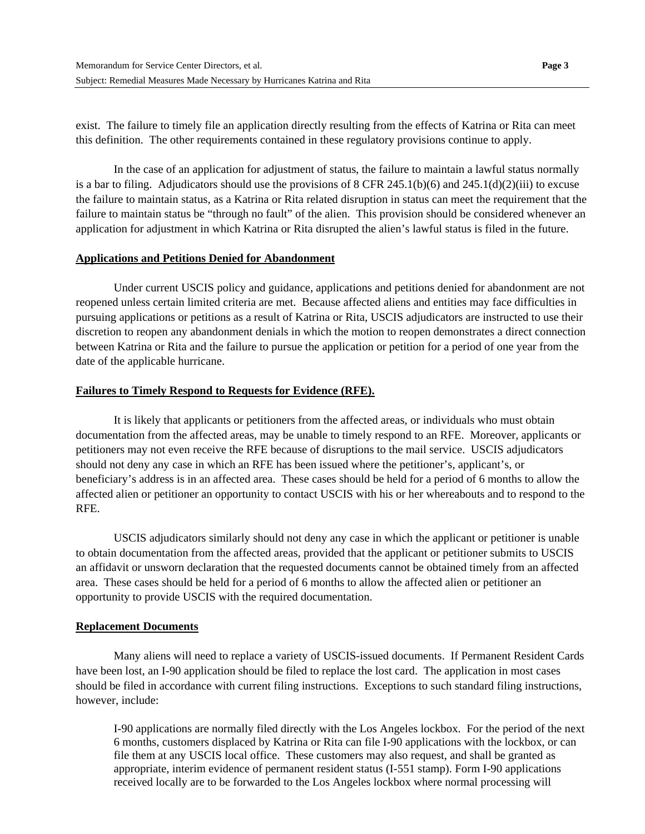exist. The failure to timely file an application directly resulting from the effects of Katrina or Rita can meet this definition. The other requirements contained in these regulatory provisions continue to apply.

In the case of an application for adjustment of status, the failure to maintain a lawful status normally is a bar to filing. Adjudicators should use the provisions of 8 CFR 245.1(b)(6) and 245.1(d)(2)(iii) to excuse the failure to maintain status, as a Katrina or Rita related disruption in status can meet the requirement that the failure to maintain status be "through no fault" of the alien. This provision should be considered whenever an application for adjustment in which Katrina or Rita disrupted the alien's lawful status is filed in the future.

#### **Applications and Petitions Denied for Abandonment**

 Under current USCIS policy and guidance, applications and petitions denied for abandonment are not reopened unless certain limited criteria are met. Because affected aliens and entities may face difficulties in pursuing applications or petitions as a result of Katrina or Rita, USCIS adjudicators are instructed to use their discretion to reopen any abandonment denials in which the motion to reopen demonstrates a direct connection between Katrina or Rita and the failure to pursue the application or petition for a period of one year from the date of the applicable hurricane.

#### **Failures to Timely Respond to Requests for Evidence (RFE).**

 It is likely that applicants or petitioners from the affected areas, or individuals who must obtain documentation from the affected areas, may be unable to timely respond to an RFE. Moreover, applicants or petitioners may not even receive the RFE because of disruptions to the mail service. USCIS adjudicators should not deny any case in which an RFE has been issued where the petitioner's, applicant's, or beneficiary's address is in an affected area. These cases should be held for a period of 6 months to allow the affected alien or petitioner an opportunity to contact USCIS with his or her whereabouts and to respond to the RFE.

USCIS adjudicators similarly should not deny any case in which the applicant or petitioner is unable to obtain documentation from the affected areas, provided that the applicant or petitioner submits to USCIS an affidavit or unsworn declaration that the requested documents cannot be obtained timely from an affected area. These cases should be held for a period of 6 months to allow the affected alien or petitioner an opportunity to provide USCIS with the required documentation.

#### **Replacement Documents**

Many aliens will need to replace a variety of USCIS-issued documents. If Permanent Resident Cards have been lost, an I-90 application should be filed to replace the lost card. The application in most cases should be filed in accordance with current filing instructions. Exceptions to such standard filing instructions, however, include:

I-90 applications are normally filed directly with the Los Angeles lockbox. For the period of the next 6 months, customers displaced by Katrina or Rita can file I-90 applications with the lockbox, or can file them at any USCIS local office. These customers may also request, and shall be granted as appropriate, interim evidence of permanent resident status (I-551 stamp). Form I-90 applications received locally are to be forwarded to the Los Angeles lockbox where normal processing will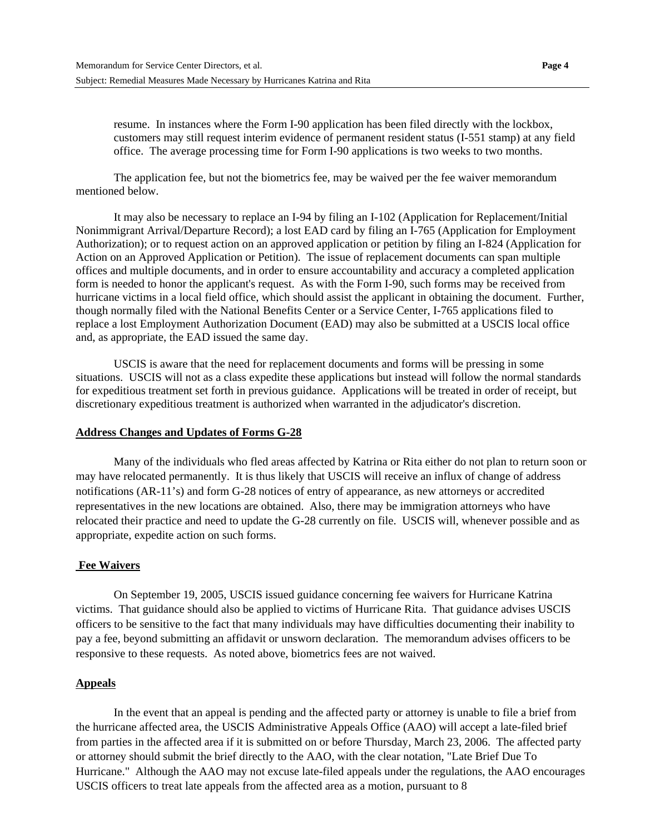The application fee, but not the biometrics fee, may be waived per the fee waiver memorandum mentioned below.

It may also be necessary to replace an I-94 by filing an I-102 (Application for Replacement/Initial Nonimmigrant Arrival/Departure Record); a lost EAD card by filing an I-765 (Application for Employment Authorization); or to request action on an approved application or petition by filing an I-824 (Application for Action on an Approved Application or Petition). The issue of replacement documents can span multiple offices and multiple documents, and in order to ensure accountability and accuracy a completed application form is needed to honor the applicant's request. As with the Form I-90, such forms may be received from hurricane victims in a local field office, which should assist the applicant in obtaining the document. Further, though normally filed with the National Benefits Center or a Service Center, I-765 applications filed to replace a lost Employment Authorization Document (EAD) may also be submitted at a USCIS local office and, as appropriate, the EAD issued the same day.

USCIS is aware that the need for replacement documents and forms will be pressing in some situations. USCIS will not as a class expedite these applications but instead will follow the normal standards for expeditious treatment set forth in previous guidance. Applications will be treated in order of receipt, but discretionary expeditious treatment is authorized when warranted in the adjudicator's discretion.

#### **Address Changes and Updates of Forms G-28**

 Many of the individuals who fled areas affected by Katrina or Rita either do not plan to return soon or may have relocated permanently. It is thus likely that USCIS will receive an influx of change of address notifications (AR-11's) and form G-28 notices of entry of appearance, as new attorneys or accredited representatives in the new locations are obtained. Also, there may be immigration attorneys who have relocated their practice and need to update the G-28 currently on file. USCIS will, whenever possible and as appropriate, expedite action on such forms.

#### **Fee Waivers**

 On September 19, 2005, USCIS issued guidance concerning fee waivers for Hurricane Katrina victims. That guidance should also be applied to victims of Hurricane Rita. That guidance advises USCIS officers to be sensitive to the fact that many individuals may have difficulties documenting their inability to pay a fee, beyond submitting an affidavit or unsworn declaration. The memorandum advises officers to be responsive to these requests. As noted above, biometrics fees are not waived.

#### **Appeals**

 In the event that an appeal is pending and the affected party or attorney is unable to file a brief from the hurricane affected area, the USCIS Administrative Appeals Office (AAO) will accept a late-filed brief from parties in the affected area if it is submitted on or before Thursday, March 23, 2006. The affected party or attorney should submit the brief directly to the AAO, with the clear notation, "Late Brief Due To Hurricane." Although the AAO may not excuse late-filed appeals under the regulations, the AAO encourages USCIS officers to treat late appeals from the affected area as a motion, pursuant to 8